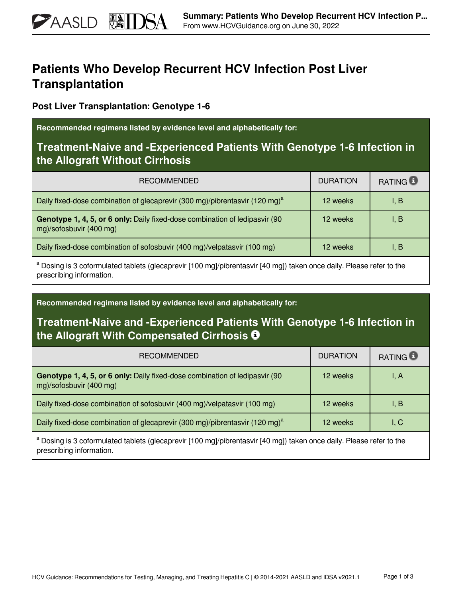# **Patients Who Develop Recurrent HCV Infection Post Liver Transplantation**

**Post Liver Transplantation: Genotype 1-6**

**PAASLD** 

**Recommended regimens listed by evidence level and alphabetically for:**

## **Treatment-Naive and -Experienced Patients With Genotype 1-6 Infection in the Allograft Without Cirrhosis**

| <b>RECOMMENDED</b>                                                                                                   | <b>DURATION</b> | <b>RATING</b> |
|----------------------------------------------------------------------------------------------------------------------|-----------------|---------------|
| Daily fixed-dose combination of glecaprevir (300 mg)/pibrentasvir (120 mg) <sup>a</sup>                              | 12 weeks        | I, B          |
| Genotype 1, 4, 5, or 6 only: Daily fixed-dose combination of ledipasvir (90<br>mg)/sofosbuvir (400 mg)               | 12 weeks        | I, B          |
| Daily fixed-dose combination of sofosbuvir (400 mg)/velpatasvir (100 mg)                                             | 12 weeks        | I, B          |
| a Desine is 2 esternulated tablets (glessprewir [100 mal/pibroptacyir [10 mal) taken apes daily. Please refer to the |                 |               |

 Dosing is 3 coformulated tablets (glecaprevir [100 mg]/pibrentasvir [40 mg]) taken once daily. Please refer to the prescribing information.

**Recommended regimens listed by evidence level and alphabetically for:**

### **Treatment-Naive and -Experienced Patients With Genotype 1-6 Infection in the Allograft With Compensated Cirrhosis**

| <b>RECOMMENDED</b>                                                                                            | <b>DURATION</b> | <b>RATING D</b> |
|---------------------------------------------------------------------------------------------------------------|-----------------|-----------------|
| Genotype 1, 4, 5, or 6 only: Daily fixed-dose combination of ledipasvir (90<br>mg)/sofosbuvir (400 mg)        | 12 weeks        | I, A            |
| Daily fixed-dose combination of sofosbuvir (400 mg)/velpatasvir (100 mg)<br>12 weeks                          |                 | I, B            |
| Daily fixed-dose combination of glecaprevir (300 mg)/pibrentasvir (120 mg) <sup>a</sup>                       | 12 weeks        | I, C            |
| a Desina 2 esternulato teleta (elecanzaris 1100 mal/pihroptanis [10 mal) teles enes dellu Dieses refer to the |                 |                 |

 Dosing is 3 coformulated tablets (glecaprevir [100 mg]/pibrentasvir [40 mg]) taken once daily. Please refer to the prescribing information.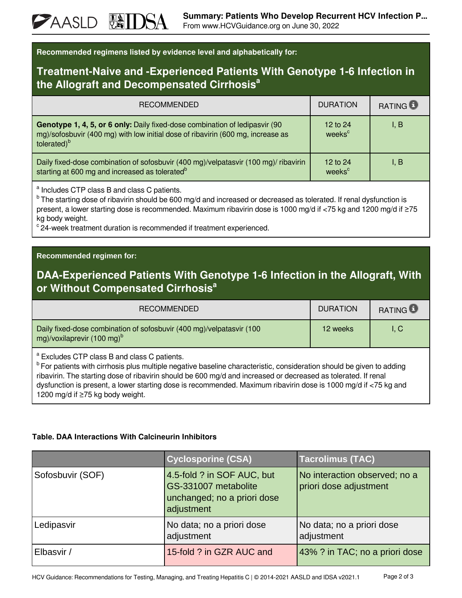| Recommended regimens listed by evidence level and alphabetically for: |  |  |  |
|-----------------------------------------------------------------------|--|--|--|
|-----------------------------------------------------------------------|--|--|--|

#### **Treatment-Naive and -Experienced Patients With Genotype 1-6 Infection in the Allograft and Decompensated Cirrhosis<sup>a</sup>**

| <b>RECOMMENDED</b>                                                                                                                                                                        | <b>DURATION</b>                | RATING <b>B</b> |
|-------------------------------------------------------------------------------------------------------------------------------------------------------------------------------------------|--------------------------------|-----------------|
| Genotype 1, 4, 5, or 6 only: Daily fixed-dose combination of ledipasvir (90<br>mg)/sofosbuvir (400 mg) with low initial dose of ribavirin (600 mg, increase as<br>tolerated) <sup>b</sup> | 12 to 24<br>weeks <sup>c</sup> | I, B            |
| Daily fixed-dose combination of sofosbuvir (400 mg)/velpatasvir (100 mg)/ ribavirin<br>starting at 600 mg and increased as tolerated <sup>b</sup>                                         | 12 to 24<br>weeks <sup>c</sup> | 1. B            |

<sup>a</sup> Includes CTP class B and class C patients.

<sup>b</sup> The starting dose of ribavirin should be 600 mg/d and increased or decreased as tolerated. If renal dysfunction is present, a lower starting dose is recommended. Maximum ribavirin dose is 1000 mg/d if <75 kg and 1200 mg/d if ≥75 kg body weight.

 $\degree$  24-week treatment duration is recommended if treatment experienced.

#### **Recommended regimen for:**

**PAASLD** 

#### **DAA-Experienced Patients With Genotype 1-6 Infection in the Allograft, With or Without Compensated Cirrhosis<sup>a</sup>**

| <b>RECOMMENDED</b>                                                                                                                                                              | <b>DURATION</b> | <b>RATING D</b> |
|---------------------------------------------------------------------------------------------------------------------------------------------------------------------------------|-----------------|-----------------|
| Daily fixed-dose combination of sofosbuvir (400 mg)/velpatasvir (100<br>mg)/voxilaprevir (100 mg) <sup>b</sup>                                                                  | 12 weeks        | $L_{\rm C}$     |
| <sup>a</sup> Excludes CTP class B and class C patients.<br>the contract of the contract of the contract of the contract of the contract of the contract of the contract of<br>. |                 |                 |

<sup>b</sup>For patients with cirrhosis plus multiple negative baseline characteristic, consideration should be given to adding ribavirin. The starting dose of ribavirin should be 600 mg/d and increased or decreased as tolerated. If renal dysfunction is present, a lower starting dose is recommended. Maximum ribavirin dose is 1000 mg/d if <75 kg and 1200 mg/d if ≥75 kg body weight.

#### **Table. DAA Interactions With Calcineurin Inhibitors**

|                  | <b>Cyclosporine (CSA)</b>                                                                       | <b>Tacrolimus (TAC)</b>                                 |
|------------------|-------------------------------------------------------------------------------------------------|---------------------------------------------------------|
| Sofosbuvir (SOF) | 4.5-fold ? in SOF AUC, but<br>GS-331007 metabolite<br>unchanged; no a priori dose<br>adjustment | No interaction observed; no a<br>priori dose adjustment |
| Ledipasvir       | No data; no a priori dose<br>adjustment                                                         | No data; no a priori dose<br>adjustment                 |
| Elbasvir /       | 15-fold ? in GZR AUC and                                                                        | 43% ? in TAC; no a priori dose                          |